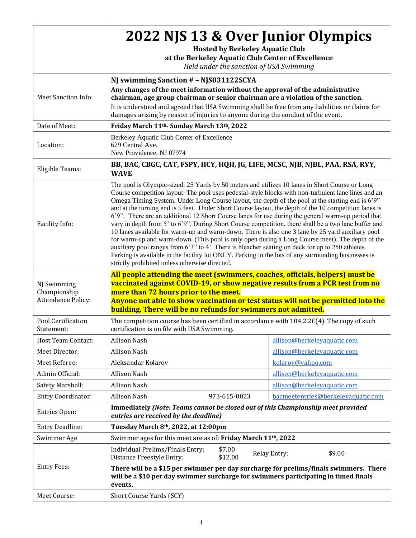|                                                          | 2022 NJS 13 & Over Junior Olympics<br><b>Hosted by Berkeley Aquatic Club</b><br>at the Berkeley Aquatic Club Center of Excellence<br>Held under the sanction of USA Swimming                                                                                                                                                                                                                                                                                                                                                                                                                                                                                                                                                                                                                                                                                                                                                                                                                                                                                                                         |                                                                                                                                                                                                                                                                                                                                                                                                    |  |                                                                                            |  |
|----------------------------------------------------------|------------------------------------------------------------------------------------------------------------------------------------------------------------------------------------------------------------------------------------------------------------------------------------------------------------------------------------------------------------------------------------------------------------------------------------------------------------------------------------------------------------------------------------------------------------------------------------------------------------------------------------------------------------------------------------------------------------------------------------------------------------------------------------------------------------------------------------------------------------------------------------------------------------------------------------------------------------------------------------------------------------------------------------------------------------------------------------------------------|----------------------------------------------------------------------------------------------------------------------------------------------------------------------------------------------------------------------------------------------------------------------------------------------------------------------------------------------------------------------------------------------------|--|--------------------------------------------------------------------------------------------|--|
| <b>Meet Sanction Info:</b>                               |                                                                                                                                                                                                                                                                                                                                                                                                                                                                                                                                                                                                                                                                                                                                                                                                                                                                                                                                                                                                                                                                                                      | NJ swimming Sanction # - NJS031122SCYA<br>Any changes of the meet information without the approval of the administrative<br>chairman, age group chairman or senior chairman are a violation of the sanction.<br>It is understood and agreed that USA Swimming shall be free from any liabilities or claims for<br>damages arising by reason of injuries to anyone during the conduct of the event. |  |                                                                                            |  |
| Date of Meet:                                            | Friday March 11 <sup>th</sup> - Sunday March 13 <sup>th</sup> , 2022                                                                                                                                                                                                                                                                                                                                                                                                                                                                                                                                                                                                                                                                                                                                                                                                                                                                                                                                                                                                                                 |                                                                                                                                                                                                                                                                                                                                                                                                    |  |                                                                                            |  |
| Location:                                                | Berkeley Aquatic Club Center of Excellence<br>629 Central Ave.<br>New Providence, NJ 07974                                                                                                                                                                                                                                                                                                                                                                                                                                                                                                                                                                                                                                                                                                                                                                                                                                                                                                                                                                                                           |                                                                                                                                                                                                                                                                                                                                                                                                    |  |                                                                                            |  |
| Eligible Teams:                                          | <b>WAVE</b>                                                                                                                                                                                                                                                                                                                                                                                                                                                                                                                                                                                                                                                                                                                                                                                                                                                                                                                                                                                                                                                                                          |                                                                                                                                                                                                                                                                                                                                                                                                    |  | BB, BAC, CBGC, CAT, FSPY, HCY, HQH, JG, LIFE, MCSC, NJB, NJBL, PAA, RSA, RVY,              |  |
| Facility Info:                                           | The pool is Olympic-sized: 25 Yards by 50 meters and utilizes 10 lanes in Short Course or Long<br>Course competition layout. The pool uses pedestal-style blocks with non-turbulent lane lines and an<br>Omega Timing System. Under Long Course layout, the depth of the pool at the starting end is 6'9"<br>and at the turning end is 5 feet. Under Short Course layout, the depth of the 10 competition lanes is<br>6'9". There are an additional 12 Short Course lanes for use during the general warm-up period that<br>vary in depth from 5' to 6'9". During Short Course competition, there shall be a two lane buffer and<br>10 lanes available for warm-up and warm-down. There is also one 3 lane by 25 yard auxiliary pool<br>for warm-up and warm-down. (This pool is only open during a Long Course meet). The depth of the<br>auxiliary pool ranges from 6'3" to 4'. There is bleacher seating on deck for up to 250 athletes.<br>Parking is available in the facility lot ONLY. Parking in the lots of any surrounding businesses is<br>strictly prohibited unless otherwise directed. |                                                                                                                                                                                                                                                                                                                                                                                                    |  |                                                                                            |  |
| NJ Swimming<br>Championship<br><b>Attendance Policy:</b> | All people attending the meet (swimmers, coaches, officials, helpers) must be<br>vaccinated against COVID-19, or show negative results from a PCR test from no<br>more than 72 hours prior to the meet.<br>Anyone not able to show vaccination or test status will not be permitted into the<br>building. There will be no refunds for swimmers not admitted.                                                                                                                                                                                                                                                                                                                                                                                                                                                                                                                                                                                                                                                                                                                                        |                                                                                                                                                                                                                                                                                                                                                                                                    |  |                                                                                            |  |
| Pool Certification<br>Statement <sup>.</sup>             | certification is on file with USA Swimming.                                                                                                                                                                                                                                                                                                                                                                                                                                                                                                                                                                                                                                                                                                                                                                                                                                                                                                                                                                                                                                                          |                                                                                                                                                                                                                                                                                                                                                                                                    |  | The competition course has been certified in accordance with 104.2.2C(4). The copy of such |  |
| Host Team Contact:                                       | Allison Nash                                                                                                                                                                                                                                                                                                                                                                                                                                                                                                                                                                                                                                                                                                                                                                                                                                                                                                                                                                                                                                                                                         |                                                                                                                                                                                                                                                                                                                                                                                                    |  | allison@berkelevaquatic.com                                                                |  |
| Meet Director:                                           | <b>Allison Nash</b>                                                                                                                                                                                                                                                                                                                                                                                                                                                                                                                                                                                                                                                                                                                                                                                                                                                                                                                                                                                                                                                                                  |                                                                                                                                                                                                                                                                                                                                                                                                    |  | allison@berkelevaquatic.com                                                                |  |
| Meet Referee:                                            | Aleksandar Kolarov                                                                                                                                                                                                                                                                                                                                                                                                                                                                                                                                                                                                                                                                                                                                                                                                                                                                                                                                                                                                                                                                                   |                                                                                                                                                                                                                                                                                                                                                                                                    |  | kolarov@yahoo.com                                                                          |  |
| Admin Official:                                          | <b>Allison Nash</b>                                                                                                                                                                                                                                                                                                                                                                                                                                                                                                                                                                                                                                                                                                                                                                                                                                                                                                                                                                                                                                                                                  |                                                                                                                                                                                                                                                                                                                                                                                                    |  | allison@berkelevaquatic.com                                                                |  |
| Safety Marshall:                                         | <b>Allison Nash</b>                                                                                                                                                                                                                                                                                                                                                                                                                                                                                                                                                                                                                                                                                                                                                                                                                                                                                                                                                                                                                                                                                  |                                                                                                                                                                                                                                                                                                                                                                                                    |  | allison@berkeleyaquatic.com                                                                |  |
| <b>Entry Coordinator:</b>                                | <b>Allison Nash</b>                                                                                                                                                                                                                                                                                                                                                                                                                                                                                                                                                                                                                                                                                                                                                                                                                                                                                                                                                                                                                                                                                  | 973-615-0023                                                                                                                                                                                                                                                                                                                                                                                       |  | bacmeetentries@berkelevaquatic.com                                                         |  |
| Entries Open:                                            | Immediately (Note: Teams cannot be closed out of this Championship meet provided<br>entries are received by the deadline)                                                                                                                                                                                                                                                                                                                                                                                                                                                                                                                                                                                                                                                                                                                                                                                                                                                                                                                                                                            |                                                                                                                                                                                                                                                                                                                                                                                                    |  |                                                                                            |  |
| <b>Entry Deadline:</b>                                   | Tuesday March 8th, 2022, at 12:00pm                                                                                                                                                                                                                                                                                                                                                                                                                                                                                                                                                                                                                                                                                                                                                                                                                                                                                                                                                                                                                                                                  |                                                                                                                                                                                                                                                                                                                                                                                                    |  |                                                                                            |  |
| Swimmer Age                                              | Swimmer ages for this meet are as of: Friday March 11 <sup>th</sup> , 2022                                                                                                                                                                                                                                                                                                                                                                                                                                                                                                                                                                                                                                                                                                                                                                                                                                                                                                                                                                                                                           |                                                                                                                                                                                                                                                                                                                                                                                                    |  |                                                                                            |  |
|                                                          | Individual Prelims/Finals Entry:<br>Distance Freestyle Entry:                                                                                                                                                                                                                                                                                                                                                                                                                                                                                                                                                                                                                                                                                                                                                                                                                                                                                                                                                                                                                                        | \$7.00<br>\$12.00                                                                                                                                                                                                                                                                                                                                                                                  |  | \$9.00<br>Relay Entry:                                                                     |  |
| <b>Entry Fees:</b>                                       | There will be a \$15 per swimmer per day surcharge for prelims/finals swimmers. There<br>will be a \$10 per day swimmer surcharge for swimmers participating in timed finals<br>events.                                                                                                                                                                                                                                                                                                                                                                                                                                                                                                                                                                                                                                                                                                                                                                                                                                                                                                              |                                                                                                                                                                                                                                                                                                                                                                                                    |  |                                                                                            |  |
| Meet Course:                                             | Short Course Yards (SCY)                                                                                                                                                                                                                                                                                                                                                                                                                                                                                                                                                                                                                                                                                                                                                                                                                                                                                                                                                                                                                                                                             |                                                                                                                                                                                                                                                                                                                                                                                                    |  |                                                                                            |  |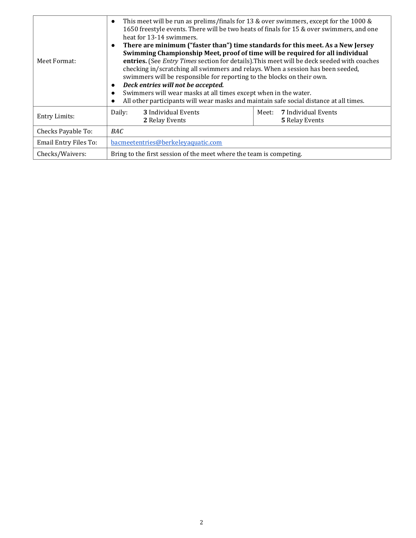| Meet Format:          | This meet will be run as prelims/finals for 13 & over swimmers, except for the 1000 &<br>$\bullet$<br>1650 freestyle events. There will be two heats of finals for 15 & over swimmers, and one<br>heat for 13-14 swimmers.<br>There are minimum ("faster than") time standards for this meet. As a New Jersey<br>٠<br>Swimming Championship Meet, proof of time will be required for all individual<br>entries. (See Entry Times section for details). This meet will be deck seeded with coaches<br>checking in/scratching all swimmers and relays. When a session has been seeded,<br>swimmers will be responsible for reporting to the blocks on their own.<br>Deck entries will not be accepted.<br>٠<br>Swimmers will wear masks at all times except when in the water.<br>All other participants will wear masks and maintain safe social distance at all times. |  |  |  |
|-----------------------|------------------------------------------------------------------------------------------------------------------------------------------------------------------------------------------------------------------------------------------------------------------------------------------------------------------------------------------------------------------------------------------------------------------------------------------------------------------------------------------------------------------------------------------------------------------------------------------------------------------------------------------------------------------------------------------------------------------------------------------------------------------------------------------------------------------------------------------------------------------------|--|--|--|
| <b>Entry Limits:</b>  | 3 Individual Events<br>Meet: 7 Individual Events<br>Daily:<br>2 Relay Events<br>5 Relay Events                                                                                                                                                                                                                                                                                                                                                                                                                                                                                                                                                                                                                                                                                                                                                                         |  |  |  |
| Checks Payable To:    | <b>BAC</b>                                                                                                                                                                                                                                                                                                                                                                                                                                                                                                                                                                                                                                                                                                                                                                                                                                                             |  |  |  |
| Email Entry Files To: | bacmeetentries@berkelevaquatic.com                                                                                                                                                                                                                                                                                                                                                                                                                                                                                                                                                                                                                                                                                                                                                                                                                                     |  |  |  |
| Checks/Waivers:       | Bring to the first session of the meet where the team is competing.                                                                                                                                                                                                                                                                                                                                                                                                                                                                                                                                                                                                                                                                                                                                                                                                    |  |  |  |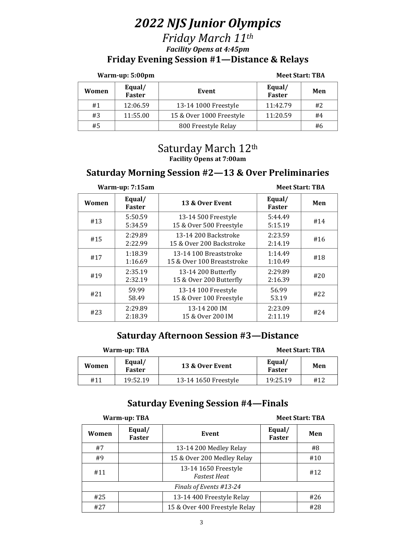# *2022 NJS Junior Olympics*

# *Friday March 11th Facility Opens at 4:45pm* **Friday Evening Session #1—Distance & Relays**

| Warm-up: 5:00pm |                         | <b>Meet Start: TBA</b>   |                         |     |
|-----------------|-------------------------|--------------------------|-------------------------|-----|
| Women           | Equal/<br><b>Faster</b> | Event                    | Equal/<br><b>Faster</b> | Men |
| #1              | 12:06.59                | 13-14 1000 Freestyle     | 11:42.79                | #2  |
| #3              | 11:55.00                | 15 & Over 1000 Freestyle | 11:20.59                | #4  |
| #5              |                         | 800 Freestyle Relay      |                         | #6  |

# Saturday March 12th **Facility Opens at 7:00am**

# **Saturday Morning Session #2—13 & Over Preliminaries**

| Warm-up: 7:15am |                         | <b>Meet Start: TBA</b>                               |                         |     |
|-----------------|-------------------------|------------------------------------------------------|-------------------------|-----|
| Women           | Equal/<br><b>Faster</b> | 13 & Over Event                                      | Equal/<br><b>Faster</b> | Men |
| #13             | 5:50.59<br>5:34.59      | 13-14 500 Freestyle<br>15 & Over 500 Freestyle       | 5:44.49<br>5:15.19      | #14 |
| #15             | 2:29.89<br>2:22.99      | 13-14 200 Backstroke<br>15 & Over 200 Backstroke     | 2:23.59<br>2:14.19      | #16 |
| #17             | 1:18.39<br>1:16.69      | 13-14 100 Breaststroke<br>15 & Over 100 Breaststroke | 1:14.49<br>1:10.49      | #18 |
| #19             | 2:35.19<br>2:32.19      | 13-14 200 Butterfly<br>15 & Over 200 Butterfly       | 2:29.89<br>2:16.39      | #20 |
| #21             | 59.99<br>58.49          | 13-14 100 Freestyle<br>15 & Over 100 Freestyle       | 56.99<br>53.19          | #22 |
| #23             | 2:29.89<br>2:18.39      | 13-14 200 IM<br>15 & Over 200 IM                     | 2:23.09<br>2:11.19      | #24 |

## **Saturday Afternoon Session #3—Distance**

| Warm-up: TBA |                         | <b>Meet Start: TBA</b> |                         |     |
|--------------|-------------------------|------------------------|-------------------------|-----|
| Women        | Equal/<br><b>Faster</b> | 13 & Over Event        | Equal/<br><b>Faster</b> | Men |
| #11          | 19:52.19                | 13-14 1650 Freestyle   | 19:25.19                | #12 |

# **Saturday Evening Session #4—Finals**

| Warm-up: TBA |                         |                                             | <b>Meet Start: TBA</b>  |     |
|--------------|-------------------------|---------------------------------------------|-------------------------|-----|
| Women        | Equal/<br><b>Faster</b> | Event                                       | Equal/<br><b>Faster</b> | Men |
| #7           |                         | 13-14 200 Medley Relay                      |                         | #8  |
| #9           |                         | 15 & Over 200 Medley Relay                  |                         | #10 |
| #11          |                         | 13-14 1650 Freestyle<br><b>Fastest Heat</b> |                         | #12 |
|              |                         | Finals of Events #13-24                     |                         |     |
| #25          |                         | 13-14 400 Freestyle Relay                   |                         | #26 |
| #27          |                         | 15 & Over 400 Freestyle Relay               |                         | #28 |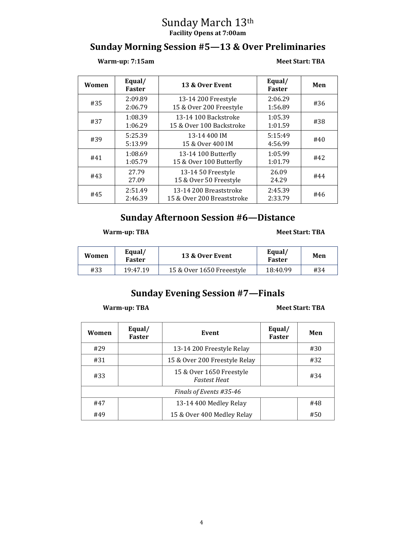## Sunday March 13th **Facility Opens at 7:00am**

# **Sunday Morning Session #5—13 & Over Preliminaries**

### **Warm-up: 7:15am Meet Start: TBA**

| Women | Equal/<br><b>Faster</b> | 13 & Over Event                                      | Equal/<br><b>Faster</b> | Men |
|-------|-------------------------|------------------------------------------------------|-------------------------|-----|
| #35   | 2:09.89<br>2:06.79      | 13-14 200 Freestyle<br>15 & Over 200 Freestyle       | 2:06.29<br>1:56.89      | #36 |
| #37   | 1:08.39<br>1:06.29      | 13-14 100 Backstroke<br>15 & Over 100 Backstroke     | 1:05.39<br>1:01.59      | #38 |
| #39   | 5:25.39<br>5:13.99      | 13-14 400 IM<br>15 & Over 400 IM                     | 5:15:49<br>4:56.99      | #40 |
| #41   | 1:08.69<br>1:05.79      | 13-14 100 Butterfly<br>15 & Over 100 Butterfly       | 1:05.99<br>1:01.79      | #42 |
| #43   | 27.79<br>27.09          | 13-14 50 Freestyle<br>15 & Over 50 Freestyle         | 26.09<br>24.29          | #44 |
| #45   | 2:51.49<br>2:46.39      | 13-14 200 Breaststroke<br>15 & Over 200 Breaststroke | 2:45.39<br>2:33.79      | #46 |

# **Sunday Afternoon Session #6—Distance**

**Warm-up: TBA Meet Start: TBA**

| Women | Equal/<br>Faster | 13 & Over Event           | Equal/<br>Faster | Men |
|-------|------------------|---------------------------|------------------|-----|
| #33   | 19:47.19         | 15 & Over 1650 Freeestyle | 18:40.99         | #34 |

# **Sunday Evening Session #7—Finals**

### **Warm-up: TBA Meet Start: TBA**

| Women                   | Equal/<br><b>Faster</b> | Event                                           | Equal/<br><b>Faster</b> | Men |
|-------------------------|-------------------------|-------------------------------------------------|-------------------------|-----|
| #29                     |                         | 13-14 200 Freestyle Relay                       |                         | #30 |
| #31                     |                         | 15 & Over 200 Freestyle Relay                   |                         | #32 |
| #33                     |                         | 15 & Over 1650 Freestyle<br><b>Fastest Heat</b> |                         | #34 |
| Finals of Events #35-46 |                         |                                                 |                         |     |
| #47                     |                         | 13-14 400 Medley Relay                          |                         | #48 |
| #49                     |                         | 15 & Over 400 Medley Relay                      |                         | #50 |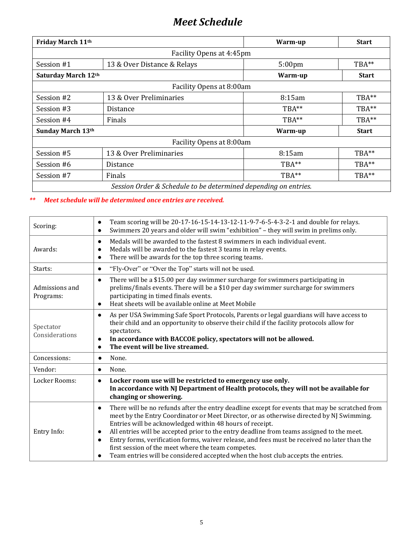# *Meet Schedule*

| Friday March 11th   |                                                                 | Warm-up            | <b>Start</b> |
|---------------------|-----------------------------------------------------------------|--------------------|--------------|
|                     | Facility Opens at 4:45pm                                        |                    |              |
| Session #1          | 13 & Over Distance & Relays                                     | 5:00 <sub>pm</sub> | TBA**        |
| Saturday March 12th |                                                                 | Warm-up            | <b>Start</b> |
|                     | Facility Opens at 8:00am                                        |                    |              |
| Session #2          | 13 & Over Preliminaries                                         | 8:15am             | TBA**        |
| Session #3          | <b>Distance</b>                                                 | TBA**              | TBA**        |
| Session #4          | Finals                                                          | TBA**              | TBA**        |
| Sunday March 13th   |                                                                 | Warm-up            | <b>Start</b> |
|                     | Facility Opens at 8:00am                                        |                    |              |
| Session #5          | 13 & Over Preliminaries                                         | 8:15am             | TBA**        |
| Session #6          | <b>Distance</b>                                                 | TBA**              | TBA**        |
| Session #7          | Finals                                                          | TBA**              | TBA**        |
|                     | Session Order & Schedule to be determined depending on entries. |                    |              |

### *\*\* Meet schedule will be determined once entries are received.*

| Scoring:                    | Team scoring will be 20-17-16-15-14-13-12-11-9-7-6-5-4-3-2-1 and double for relays.<br>$\bullet$<br>Swimmers 20 years and older will swim "exhibition" - they will swim in prelims only.                                                                                                                                                                                                                                                                                                                                                                                                                   |
|-----------------------------|------------------------------------------------------------------------------------------------------------------------------------------------------------------------------------------------------------------------------------------------------------------------------------------------------------------------------------------------------------------------------------------------------------------------------------------------------------------------------------------------------------------------------------------------------------------------------------------------------------|
| Awards:                     | Medals will be awarded to the fastest 8 swimmers in each individual event.<br>Medals will be awarded to the fastest 3 teams in relay events.<br>There will be awards for the top three scoring teams.                                                                                                                                                                                                                                                                                                                                                                                                      |
| Starts:                     | "Fly-Over" or "Over the Top" starts will not be used.<br>$\bullet$                                                                                                                                                                                                                                                                                                                                                                                                                                                                                                                                         |
| Admissions and<br>Programs: | There will be a \$15.00 per day swimmer surcharge for swimmers participating in<br>$\bullet$<br>prelims/finals events. There will be a \$10 per day swimmer surcharge for swimmers<br>participating in timed finals events.<br>Heat sheets will be available online at Meet Mobile<br>$\bullet$                                                                                                                                                                                                                                                                                                            |
| Spectator<br>Considerations | As per USA Swimming Safe Sport Protocols, Parents or legal guardians will have access to<br>$\bullet$<br>their child and an opportunity to observe their child if the facility protocols allow for<br>spectators.<br>In accordance with BACCOE policy, spectators will not be allowed.<br>$\bullet$<br>The event will be live streamed.                                                                                                                                                                                                                                                                    |
| Concessions:                | None.<br>$\bullet$                                                                                                                                                                                                                                                                                                                                                                                                                                                                                                                                                                                         |
| Vendor:                     | None.<br>$\bullet$                                                                                                                                                                                                                                                                                                                                                                                                                                                                                                                                                                                         |
| Locker Rooms:               | Locker room use will be restricted to emergency use only.<br>$\bullet$<br>In accordance with NJ Department of Health protocols, they will not be available for<br>changing or showering.                                                                                                                                                                                                                                                                                                                                                                                                                   |
| Entry Info:                 | There will be no refunds after the entry deadline except for events that may be scratched from<br>$\bullet$<br>meet by the Entry Coordinator or Meet Director, or as otherwise directed by NJ Swimming.<br>Entries will be acknowledged within 48 hours of receipt.<br>All entries will be accepted prior to the entry deadline from teams assigned to the meet.<br>Entry forms, verification forms, waiver release, and fees must be received no later than the<br>first session of the meet where the team competes.<br>Team entries will be considered accepted when the host club accepts the entries. |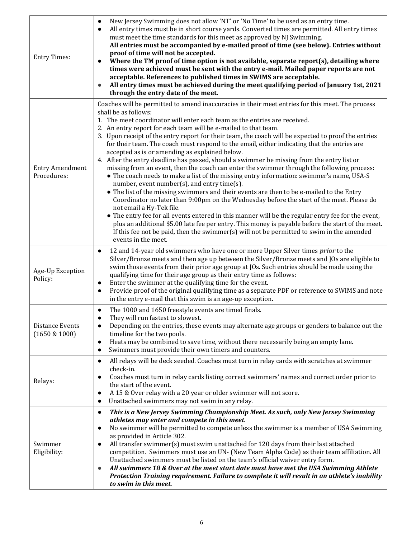| <b>Entry Times:</b>                   | New Jersey Swimming does not allow 'NT' or 'No Time' to be used as an entry time.<br>$\bullet$<br>All entry times must be in short course yards. Converted times are permitted. All entry times<br>$\bullet$<br>must meet the time standards for this meet as approved by NJ Swimming.<br>All entries must be accompanied by e-mailed proof of time (see below). Entries without<br>proof of time will not be accepted.<br>Where the TM proof of time option is not available, separate report( $s$ ), detailing where<br>$\bullet$<br>times were achieved must be sent with the entry e-mail. Mailed paper reports are not<br>acceptable. References to published times in SWIMS are acceptable.<br>All entry times must be achieved during the meet qualifying period of January 1st, 2021<br>through the entry date of the meet.                                                                                                                                                                                                                                                                                                                                                                                                                                                                                                                                                                                         |
|---------------------------------------|-----------------------------------------------------------------------------------------------------------------------------------------------------------------------------------------------------------------------------------------------------------------------------------------------------------------------------------------------------------------------------------------------------------------------------------------------------------------------------------------------------------------------------------------------------------------------------------------------------------------------------------------------------------------------------------------------------------------------------------------------------------------------------------------------------------------------------------------------------------------------------------------------------------------------------------------------------------------------------------------------------------------------------------------------------------------------------------------------------------------------------------------------------------------------------------------------------------------------------------------------------------------------------------------------------------------------------------------------------------------------------------------------------------------------------|
| <b>Entry Amendment</b><br>Procedures: | Coaches will be permitted to amend inaccuracies in their meet entries for this meet. The process<br>shall be as follows:<br>1. The meet coordinator will enter each team as the entries are received.<br>2. An entry report for each team will be e-mailed to that team.<br>3. Upon receipt of the entry report for their team, the coach will be expected to proof the entries<br>for their team. The coach must respond to the email, either indicating that the entries are<br>accepted as is or amending as explained below.<br>4. After the entry deadline has passed, should a swimmer be missing from the entry list or<br>missing from an event, then the coach can enter the swimmer through the following process:<br>• The coach needs to make a list of the missing entry information: swimmer's name, USA-S<br>number, event number(s), and entry time(s).<br>• The list of the missing swimmers and their events are then to be e-mailed to the Entry<br>Coordinator no later than 9:00pm on the Wednesday before the start of the meet. Please do<br>not email a Hy-Tek file.<br>• The entry fee for all events entered in this manner will be the regular entry fee for the event,<br>plus an additional \$5.00 late fee per entry. This money is payable before the start of the meet.<br>If this fee not be paid, then the swimmer(s) will not be permitted to swim in the amended<br>events in the meet. |
| Age-Up Exception<br>Policy:           | 12 and 14-year old swimmers who have one or more Upper Silver times <i>prior</i> to the<br>$\bullet$<br>Silver/Bronze meets and then age up between the Silver/Bronze meets and JOs are eligible to<br>swim those events from their prior age group at JOs. Such entries should be made using the<br>qualifying time for their age group as their entry time as follows:<br>Enter the swimmer at the qualifying time for the event.<br>$\bullet$<br>Provide proof of the original qualifying time as a separate PDF or reference to SWIMS and note<br>$\bullet$<br>in the entry e-mail that this swim is an age-up exception.                                                                                                                                                                                                                                                                                                                                                                                                                                                                                                                                                                                                                                                                                                                                                                                               |
| Distance Events<br>$(1650 \& 1000)$   | The 1000 and 1650 freestyle events are timed finals.<br>$\bullet$<br>They will run fastest to slowest.<br>Depending on the entries, these events may alternate age groups or genders to balance out the<br>$\bullet$<br>timeline for the two pools.<br>Heats may be combined to save time, without there necessarily being an empty lane.<br>$\bullet$<br>Swimmers must provide their own timers and counters.                                                                                                                                                                                                                                                                                                                                                                                                                                                                                                                                                                                                                                                                                                                                                                                                                                                                                                                                                                                                              |
| Relays:                               | All relays will be deck seeded. Coaches must turn in relay cards with scratches at swimmer<br>$\bullet$<br>check-in.<br>Coaches must turn in relay cards listing correct swimmers' names and correct order prior to<br>the start of the event.<br>A 15 & Over relay with a 20 year or older swimmer will not score.<br>Unattached swimmers may not swim in any relay.<br>$\bullet$                                                                                                                                                                                                                                                                                                                                                                                                                                                                                                                                                                                                                                                                                                                                                                                                                                                                                                                                                                                                                                          |
| Swimmer<br>Eligibility:               | This is a New Jersey Swimming Championship Meet. As such, only New Jersey Swimming<br>$\bullet$<br>athletes may enter and compete in this meet.<br>No swimmer will be permitted to compete unless the swimmer is a member of USA Swimming<br>$\bullet$<br>as provided in Article 302.<br>All transfer swimmer(s) must swim unattached for 120 days from their last attached<br>competition. Swimmers must use an UN- (New Team Alpha Code) as their team affiliation. All<br>Unattached swimmers must be listed on the team's official waiver entry form.<br>All swimmers 18 & Over at the meet start date must have met the USA Swimming Athlete<br>Protection Training requirement. Failure to complete it will result in an athlete's inability<br>to swim in this meet.                                                                                                                                                                                                                                                                                                                                                                                                                                                                                                                                                                                                                                                 |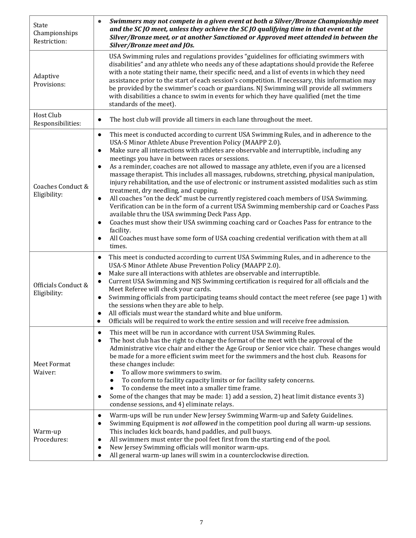| State<br>Championships<br>Restriction: | Swimmers may not compete in a given event at both a Silver/Bronze Championship meet<br>$\bullet$<br>and the SC JO meet, unless they achieve the SC JO qualifying time in that event at the<br>Silver/Bronze meet, or at another Sanctioned or Approved meet attended in between the<br>Silver/Bronze meet and JOs.                                                                                                                                                                                                                                                                                                                                                                                                                                                                                                                                                                                                                                                                                                                                                                                                                                  |  |
|----------------------------------------|-----------------------------------------------------------------------------------------------------------------------------------------------------------------------------------------------------------------------------------------------------------------------------------------------------------------------------------------------------------------------------------------------------------------------------------------------------------------------------------------------------------------------------------------------------------------------------------------------------------------------------------------------------------------------------------------------------------------------------------------------------------------------------------------------------------------------------------------------------------------------------------------------------------------------------------------------------------------------------------------------------------------------------------------------------------------------------------------------------------------------------------------------------|--|
| Adaptive<br>Provisions:                | USA Swimming rules and regulations provides "guidelines for officiating swimmers with<br>disabilities" and any athlete who needs any of these adaptations should provide the Referee<br>with a note stating their name, their specific need, and a list of events in which they need<br>assistance prior to the start of each session's competition. If necessary, this information may<br>be provided by the swimmer's coach or guardians. NJ Swimming will provide all swimmers<br>with disabilities a chance to swim in events for which they have qualified (met the time<br>standards of the meet).                                                                                                                                                                                                                                                                                                                                                                                                                                                                                                                                            |  |
| <b>Host Club</b><br>Responsibilities:  | The host club will provide all timers in each lane throughout the meet.<br>$\bullet$                                                                                                                                                                                                                                                                                                                                                                                                                                                                                                                                                                                                                                                                                                                                                                                                                                                                                                                                                                                                                                                                |  |
| Coaches Conduct &<br>Eligibility:      | This meet is conducted according to current USA Swimming Rules, and in adherence to the<br>$\bullet$<br>USA-S Minor Athlete Abuse Prevention Policy (MAAPP 2.0).<br>Make sure all interactions with athletes are observable and interruptible, including any<br>$\bullet$<br>meetings you have in between races or sessions.<br>As a reminder, coaches are not allowed to massage any athlete, even if you are a licensed<br>$\bullet$<br>massage therapist. This includes all massages, rubdowns, stretching, physical manipulation,<br>injury rehabilitation, and the use of electronic or instrument assisted modalities such as stim<br>treatment, dry needling, and cupping.<br>All coaches "on the deck" must be currently registered coach members of USA Swimming.<br>$\bullet$<br>Verification can be in the form of a current USA Swimming membership card or Coaches Pass<br>available thru the USA swimming Deck Pass App.<br>Coaches must show their USA swimming coaching card or Coaches Pass for entrance to the<br>facility.<br>All Coaches must have some form of USA coaching credential verification with them at all<br>times. |  |
| Officials Conduct &<br>Eligibility:    | This meet is conducted according to current USA Swimming Rules, and in adherence to the<br>$\bullet$<br>USA-S Minor Athlete Abuse Prevention Policy (MAAPP 2.0).<br>Make sure all interactions with athletes are observable and interruptible.<br>$\bullet$<br>Current USA Swimming and NJS Swimming certification is required for all officials and the<br>$\bullet$<br>Meet Referee will check your cards.<br>Swimming officials from participating teams should contact the meet referee (see page 1) with<br>$\bullet$<br>the sessions when they are able to help.<br>All officials must wear the standard white and blue uniform.<br>Officials will be required to work the entire session and will receive free admission.<br>$\bullet$                                                                                                                                                                                                                                                                                                                                                                                                       |  |
| Meet Format<br>Waiver:                 | This meet will be run in accordance with current USA Swimming Rules.<br>$\bullet$<br>The host club has the right to change the format of the meet with the approval of the<br>$\bullet$<br>Administrative vice chair and either the Age Group or Senior vice chair. These changes would<br>be made for a more efficient swim meet for the swimmers and the host club. Reasons for<br>these changes include:<br>To allow more swimmers to swim.<br>To conform to facility capacity limits or for facility safety concerns.<br>To condense the meet into a smaller time frame.<br>$\bullet$<br>Some of the changes that may be made: 1) add a session, 2) heat limit distance events 3)<br>$\bullet$<br>condense sessions, and 4) eliminate relays.                                                                                                                                                                                                                                                                                                                                                                                                   |  |
| Warm-up<br>Procedures:                 | Warm-ups will be run under New Jersey Swimming Warm-up and Safety Guidelines.<br>$\bullet$<br>Swimming Equipment is <i>not allowed</i> in the competition pool during all warm-up sessions.<br>$\bullet$<br>This includes kick boards, hand paddles, and pull buoys.<br>All swimmers must enter the pool feet first from the starting end of the pool.<br>$\bullet$<br>New Jersey Swimming officials will monitor warm-ups.<br>٠<br>All general warm-up lanes will swim in a counterclockwise direction.                                                                                                                                                                                                                                                                                                                                                                                                                                                                                                                                                                                                                                            |  |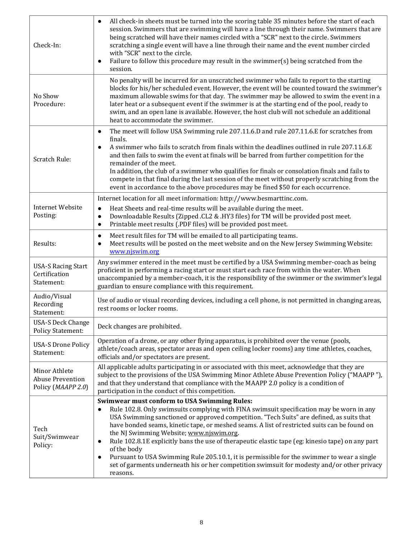| Check-In:                                                      | All check-in sheets must be turned into the scoring table 35 minutes before the start of each<br>$\bullet$<br>session. Swimmers that are swimming will have a line through their name. Swimmers that are<br>being scratched will have their names circled with a "SCR" next to the circle. Swimmers<br>scratching a single event will have a line through their name and the event number circled<br>with "SCR" next to the circle.<br>Failure to follow this procedure may result in the swimmer(s) being scratched from the<br>$\bullet$<br>session.                                                                                                                                                                                                     |  |
|----------------------------------------------------------------|------------------------------------------------------------------------------------------------------------------------------------------------------------------------------------------------------------------------------------------------------------------------------------------------------------------------------------------------------------------------------------------------------------------------------------------------------------------------------------------------------------------------------------------------------------------------------------------------------------------------------------------------------------------------------------------------------------------------------------------------------------|--|
| No Show<br>Procedure:                                          | No penalty will be incurred for an unscratched swimmer who fails to report to the starting<br>blocks for his/her scheduled event. However, the event will be counted toward the swimmer's<br>maximum allowable swims for that day. The swimmer may be allowed to swim the event in a<br>later heat or a subsequent event if the swimmer is at the starting end of the pool, ready to<br>swim, and an open lane is available. However, the host club will not schedule an additional<br>heat to accommodate the swimmer.                                                                                                                                                                                                                                    |  |
| Scratch Rule:                                                  | The meet will follow USA Swimming rule 207.11.6.D and rule 207.11.6.E for scratches from<br>$\bullet$<br>finals.<br>A swimmer who fails to scratch from finals within the deadlines outlined in rule 207.11.6.E<br>$\bullet$<br>and then fails to swim the event at finals will be barred from further competition for the<br>remainder of the meet.<br>In addition, the club of a swimmer who qualifies for finals or consolation finals and fails to<br>compete in that final during the last session of the meet without properly scratching from the<br>event in accordance to the above procedures may be fined \$50 for each occurrence.                                                                                                             |  |
| <b>Internet Website</b><br>Posting:                            | Internet location for all meet information: http://www.besmarttinc.com.<br>Heat Sheets and real-time results will be available during the meet.<br>$\bullet$<br>Downloadable Results (Zipped .CL2 & .HY3 files) for TM will be provided post meet.<br>$\bullet$<br>Printable meet results (.PDF files) will be provided post meet.<br>$\bullet$                                                                                                                                                                                                                                                                                                                                                                                                            |  |
| Results:                                                       | Meet result files for TM will be emailed to all participating teams.<br>$\bullet$<br>Meet results will be posted on the meet website and on the New Jersey Swimming Website:<br>$\bullet$<br>www.njswim.org                                                                                                                                                                                                                                                                                                                                                                                                                                                                                                                                                |  |
| <b>USA-S Racing Start</b><br>Certification<br>Statement:       | Any swimmer entered in the meet must be certified by a USA Swimming member-coach as being<br>proficient in performing a racing start or must start each race from within the water. When<br>unaccompanied by a member-coach, it is the responsibility of the swimmer or the swimmer's legal<br>guardian to ensure compliance with this requirement.                                                                                                                                                                                                                                                                                                                                                                                                        |  |
| Audio/Visual<br>Recording<br>Statement:                        | Use of audio or visual recording devices, including a cell phone, is not permitted in changing areas,<br>rest rooms or locker rooms.                                                                                                                                                                                                                                                                                                                                                                                                                                                                                                                                                                                                                       |  |
| <b>USA-S Deck Change</b><br><b>Policy Statement:</b>           | Deck changes are prohibited.                                                                                                                                                                                                                                                                                                                                                                                                                                                                                                                                                                                                                                                                                                                               |  |
| <b>USA-S Drone Policy</b><br>Statement:                        | Operation of a drone, or any other flying apparatus, is prohibited over the venue (pools,<br>athlete/coach areas, spectator areas and open ceiling locker rooms) any time athletes, coaches,<br>officials and/or spectators are present.                                                                                                                                                                                                                                                                                                                                                                                                                                                                                                                   |  |
| Minor Athlete<br><b>Abuse Prevention</b><br>Policy (MAAPP 2.0) | All applicable adults participating in or associated with this meet, acknowledge that they are<br>subject to the provisions of the USA Swimming Minor Athlete Abuse Prevention Policy ("MAAPP"),<br>and that they understand that compliance with the MAAPP 2.0 policy is a condition of<br>participation in the conduct of this competition.                                                                                                                                                                                                                                                                                                                                                                                                              |  |
| Tech<br>Suit/Swimwear<br>Policy:                               | <b>Swimwear must conform to USA Swimming Rules:</b><br>Rule 102.8. Only swimsuits complying with FINA swimsuit specification may be worn in any<br>$\bullet$<br>USA Swimming sanctioned or approved competition. "Tech Suits" are defined, as suits that<br>have bonded seams, kinetic tape, or meshed seams. A list of restricted suits can be found on<br>the NJ Swimming Website; www.njswim.org.<br>Rule 102.8.1E explicitly bans the use of therapeutic elastic tape (eg: kinesio tape) on any part<br>$\bullet$<br>of the body<br>Pursuant to USA Swimming Rule 205.10.1, it is permissible for the swimmer to wear a single<br>$\bullet$<br>set of garments underneath his or her competition swimsuit for modesty and/or other privacy<br>reasons. |  |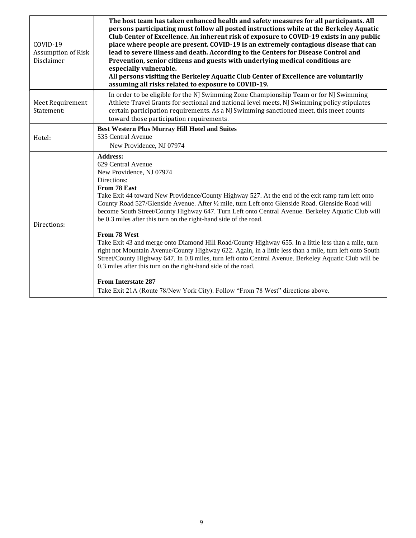| COVID-19<br><b>Assumption of Risk</b><br>Disclaimer | The host team has taken enhanced health and safety measures for all participants. All<br>persons participating must follow all posted instructions while at the Berkeley Aquatic<br>Club Center of Excellence. An inherent risk of exposure to COVID-19 exists in any public<br>place where people are present. COVID-19 is an extremely contagious disease that can<br>lead to severe illness and death. According to the Centers for Disease Control and<br>Prevention, senior citizens and guests with underlying medical conditions are<br>especially vulnerable.<br>All persons visiting the Berkeley Aquatic Club Center of Excellence are voluntarily<br>assuming all risks related to exposure to COVID-19.                                                                                                                                                                                                                                                                                               |
|-----------------------------------------------------|-------------------------------------------------------------------------------------------------------------------------------------------------------------------------------------------------------------------------------------------------------------------------------------------------------------------------------------------------------------------------------------------------------------------------------------------------------------------------------------------------------------------------------------------------------------------------------------------------------------------------------------------------------------------------------------------------------------------------------------------------------------------------------------------------------------------------------------------------------------------------------------------------------------------------------------------------------------------------------------------------------------------|
| Meet Requirement<br>Statement:                      | In order to be eligible for the NJ Swimming Zone Championship Team or for NJ Swimming<br>Athlete Travel Grants for sectional and national level meets, NJ Swimming policy stipulates<br>certain participation requirements. As a NJ Swimming sanctioned meet, this meet counts<br>toward those participation requirements.                                                                                                                                                                                                                                                                                                                                                                                                                                                                                                                                                                                                                                                                                        |
| Hotel:                                              | <b>Best Western Plus Murray Hill Hotel and Suites</b><br>535 Central Avenue<br>New Providence, NJ 07974                                                                                                                                                                                                                                                                                                                                                                                                                                                                                                                                                                                                                                                                                                                                                                                                                                                                                                           |
| Directions:                                         | <b>Address:</b><br>629 Central Avenue<br>New Providence, NJ 07974<br>Directions:<br>From 78 East<br>Take Exit 44 toward New Providence/County Highway 527. At the end of the exit ramp turn left onto<br>County Road 527/Glenside Avenue. After 1/2 mile, turn Left onto Glenside Road. Glenside Road will<br>become South Street/County Highway 647. Turn Left onto Central Avenue. Berkeley Aquatic Club will<br>be 0.3 miles after this turn on the right-hand side of the road.<br>From 78 West<br>Take Exit 43 and merge onto Diamond Hill Road/County Highway 655. In a little less than a mile, turn<br>right not Mountain Avenue/County Highway 622. Again, in a little less than a mile, turn left onto South<br>Street/County Highway 647. In 0.8 miles, turn left onto Central Avenue. Berkeley Aquatic Club will be<br>0.3 miles after this turn on the right-hand side of the road.<br><b>From Interstate 287</b><br>Take Exit 21A (Route 78/New York City). Follow "From 78 West" directions above. |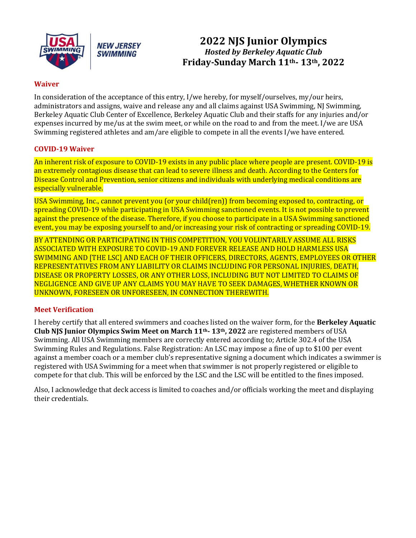



### **Waiver**

In consideration of the acceptance of this entry, I/we hereby, for myself/ourselves, my/our heirs, administrators and assigns, waive and release any and all claims against USA Swimming, NJ Swimming, Berkeley Aquatic Club Center of Excellence, Berkeley Aquatic Club and their staffs for any injuries and/or expenses incurred by me/us at the swim meet, or while on the road to and from the meet. I/we are USA Swimming registered athletes and am/are eligible to compete in all the events I/we have entered.

### **COVID-19 Waiver**

An inherent risk of exposure to COVID-19 exists in any public place where people are present. COVID-19 is an extremely contagious disease that can lead to severe illness and death. According to the Centers for Disease Control and Prevention, senior citizens and individuals with underlying medical conditions are especially vulnerable.

USA Swimming, Inc., cannot prevent you (or your child(ren)) from becoming exposed to, contracting, or spreading COVID-19 while participating in USA Swimming sanctioned events. It is not possible to prevent against the presence of the disease. Therefore, if you choose to participate in a USA Swimming sanctioned event, you may be exposing yourself to and/or increasing your risk of contracting or spreading COVID-19.

BY ATTENDING OR PARTICIPATING IN THIS COMPETITION, YOU VOLUNTARILY ASSUME ALL RISKS ASSOCIATED WITH EXPOSURE TO COVID-19 AND FOREVER RELEASE AND HOLD HARMLESS USA SWIMMING AND [THE LSC] AND EACH OF THEIR OFFICERS, DIRECTORS, AGENTS, EMPLOYEES OR OTHER REPRESENTATIVES FROM ANY LIABILITY OR CLAIMS INCLUDING FOR PERSONAL INJURIES, DEATH, DISEASE OR PROPERTY LOSSES, OR ANY OTHER LOSS, INCLUDING BUT NOT LIMITED TO CLAIMS OF NEGLIGENCE AND GIVE UP ANY CLAIMS YOU MAY HAVE TO SEEK DAMAGES, WHETHER KNOWN OR UNKNOWN, FORESEEN OR UNFORESEEN, IN CONNECTION THEREWITH.

### **Meet Verification**

I hereby certify that all entered swimmers and coaches listed on the waiver form, for the **Berkeley Aquatic Club NJS Junior Olympics Swim Meet on March 11th- 13th, 2022** are registered members of USA Swimming. All USA Swimming members are correctly entered according to; Article 302.4 of the USA Swimming Rules and Regulations. False Registration: An LSC may impose a fine of up to \$100 per event against a member coach or a member club's representative signing a document which indicates a swimmer is registered with USA Swimming for a meet when that swimmer is not properly registered or eligible to compete for that club. This will be enforced by the LSC and the LSC will be entitled to the fines imposed.

Also, I acknowledge that deck access is limited to coaches and/or officials working the meet and displaying their credentials.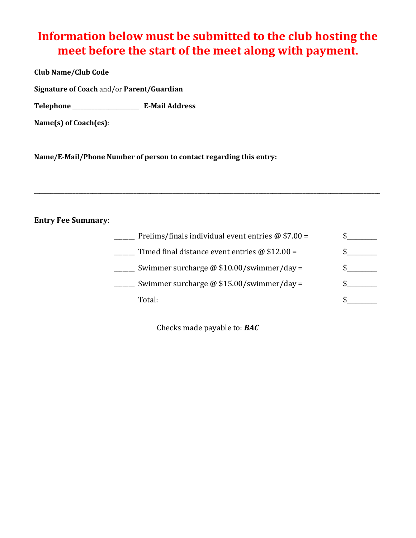# **Information below must be submitted to the club hosting the meet before the start of the meet along with payment.**

**Club Name/Club Code** 

**Signature of Coach** and/or **Parent/Guardian** 

**Telephone** \_\_\_\_\_\_\_\_\_\_\_\_\_\_\_\_\_\_\_\_\_\_\_\_ **E-Mail Address** 

**Name(s) of Coach(es)**:

**Name/E-Mail/Phone Number of person to contact regarding this entry:** 

## **Entry Fee Summary**:

| Prelims/finals individual event entries $\omega$ \$7.00 = |  |
|-----------------------------------------------------------|--|
| Timed final distance event entries $\omega$ \$12.00 =     |  |
| Swimmer surcharge @ \$10.00/swimmer/day =                 |  |
| Swimmer surcharge @ \$15.00/swimmer/day =                 |  |
| Total·                                                    |  |

Checks made payable to: *BAC*

\_\_\_\_\_\_\_\_\_\_\_\_\_\_\_\_\_\_\_\_\_\_\_\_\_\_\_\_\_\_\_\_\_\_\_\_\_\_\_\_\_\_\_\_\_\_\_\_\_\_\_\_\_\_\_\_\_\_\_\_\_\_\_\_\_\_\_\_\_\_\_\_\_\_\_\_\_\_\_\_\_\_\_\_\_\_\_\_\_\_\_\_\_\_\_\_\_\_\_\_\_\_\_\_\_\_\_\_\_\_\_\_\_\_\_\_\_\_\_\_\_\_\_\_\_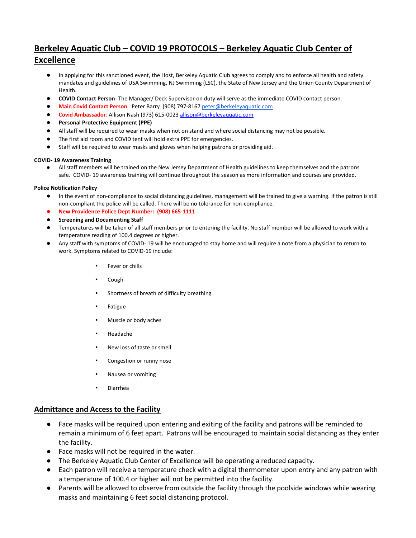# **Berkeley Aquatic Club – COVID 19 PROTOCOLS – Berkeley Aquatic Club Center of Excellence**

- In applying for this sanctioned event, the Host, Berkeley Aquatic Club agrees to comply and to enforce all health and safety mandates and guidelines of USA Swimming, NJ Swimming (LSC), the State of New Jersey and the Union County Department of Health.
- **COVID Contact Person** The Manager/ Deck Supervisor on duty will serve as the immediate COVID contact person.
- **Main Covid Contact Person**: Peter Barry (908) 797-816[7 peter@berkeleyaquatic.com](mailto:peter@berkeleyaquaticclub.com)
- **Covid Ambassador**: Allison Nash (973) 615-0023 allison@berkeleyaquatic.com
- **Personal Protective Equipment (PPE)**
- All staff will be required to wear masks when not on stand and where social distancing may not be possible.
- The first aid room and COVID tent will hold extra PPE for emergencies.
- Staff will be required to wear masks and gloves when helping patrons or providing aid.

### **COVID- 19 Awareness Training**

● All staff members will be trained on the New Jersey Department of Health guidelines to keep themselves and the patrons safe. COVID- 19 awareness training will continue throughout the season as more information and courses are provided.

### **Police Notification Policy**

- In the event of non-compliance to social distancing guidelines, management will be trained to give a warning. If the patron is still non-compliant the police will be called. There will be no tolerance for non-compliance.
- **New Providence Police Dept Number: (908) 665-1111**
- **Screening and Documenting Staff**
- Temperatures will be taken of all staff members prior to entering the facility. No staff member will be allowed to work with a temperature reading of 100.4 degrees or higher.
- Any staff with symptoms of COVID- 19 will be encouraged to stay home and will require a note from a physician to return to work. Symptoms related to COVID-19 include:
	- Fever or chills
	- Cough
	- Shortness of breath of difficulty breathing
	- Fatigue
	- Muscle or body aches
	- **Headache**
	- New loss of taste or smell
	- Congestion or runny nose
	- Nausea or vomiting
	- **Diarrhea**

### **Admittance and Access to the Facility**

- Face masks will be required upon entering and exiting of the facility and patrons will be reminded to remain a minimum of 6 feet apart. Patrons will be encouraged to maintain social distancing as they enter the facility.
- Face masks will not be required in the water.
- The Berkeley Aquatic Club Center of Excellence will be operating a reduced capacity.
- Each patron will receive a temperature check with a digital thermometer upon entry and any patron with a temperature of 100.4 or higher will not be permitted into the facility.
- Parents will be allowed to observe from outside the facility through the poolside windows while wearing masks and maintaining 6 feet social distancing protocol.